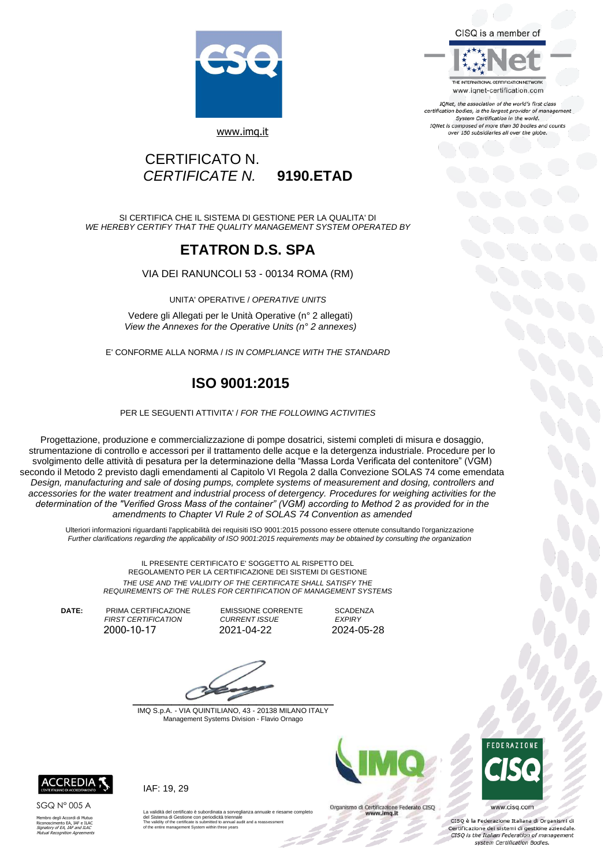CISQ is a member of



THE INTERNATIONAL CERTIFICATION NETWORK www.iqnet-certification.com

IQNet, the association of the world's first class certification bodies, is the largest provider of management System Certification in the world. IONet is composed of more than 30 bodies and counts over 150 subsidiaries all over the globe.

#### [www.imq.it](http://www.imq.it/)

### CERTIFICATO N. *CERTIFICATE N.* **9190.ETAD**

SI CERTIFICA CHE IL SISTEMA DI GESTIONE PER LA QUALITA' DI *WE HEREBY CERTIFY THAT THE QUALITY MANAGEMENT SYSTEM OPERATED BY*

### **ETATRON D.S. SPA**

VIA DEI RANUNCOLI 53 - 00134 ROMA (RM)

UNITA' OPERATIVE / *OPERATIVE UNITS*

Vedere gli Allegati per le Unità Operative (n° 2 allegati) *View the Annexes for the Operative Units (n° 2 annexes)*

E' CONFORME ALLA NORMA / *IS IN COMPLIANCE WITH THE STANDARD*

## **ISO 9001:2015**

PER LE SEGUENTI ATTIVITA' / *FOR THE FOLLOWING ACTIVITIES*

Progettazione, produzione e commercializzazione di pompe dosatrici, sistemi completi di misura e dosaggio, strumentazione di controllo e accessori per il trattamento delle acque e la detergenza industriale. Procedure per lo svolgimento delle attività di pesatura per la determinazione della "Massa Lorda Verificata del contenitore" (VGM) secondo il Metodo 2 previsto dagli emendamenti al Capitolo VI Regola 2 dalla Convezione SOLAS 74 come emendata *Design, manufacturing and sale of dosing pumps, complete systems of measurement and dosing, controllers and accessories for the water treatment and industrial process of detergency. Procedures for weighing activities for the determination of the "Verified Gross Mass of the container" (VGM) according to Method 2 as provided for in the amendments to Chapter VI Rule 2 of SOLAS 74 Convention as amended*

Ulteriori informazioni riguardanti l'applicabilità dei requisiti ISO 9001:2015 possono essere ottenute consultando l'organizzazione *Further clarifications regarding the applicability of ISO 9001:2015 requirements may be obtained by consulting the organization*

IL PRESENTE CERTIFICATO E' SOGGETTO AL RISPETTO DEL REGOLAMENTO PER LA CERTIFICAZIONE DEI SISTEMI DI GESTIONE *THE USE AND THE VALIDITY OF THE CERTIFICATE SHALL SATISFY THE REQUIREMENTS OF THE RULES FOR CERTIFICATION OF MANAGEMENT SYSTEMS*

**DATE:** PRIMA CERTIFICAZIONE EMISSIONE CORRENTE SCADENZA<br>FIRST CERTIFICATION CURRENT ISSUE EXPIRY *FIRST CERTIFICATION CURRENT ISSUE EXPIRY* 

2021-04-22

 $\overline{\phantom{a}}$ 

IMQ S.p.A. - VIA QUINTILIANO, 43 - 20138 MILANO ITALY Management Systems Division - Flavio Ornago



Organismo di Certificazione Federato CISQ www.imq.it



www.cisq.com

CISQ è la Federazione Italiana di Organismi di Certificazione dei sistemi di gestione aziendale.<br>CISQ is the Italian Federation of management system Certification Bodies.



SGQ N° 005 A

Membro degli Accordi di Mutuo Riconoscimento EA, IAF e ILAC Signatory of EA, IAF and ILAC Mutual Recognition Agreements IAF: 19, 29

La validità del certificato è subordinata a sorveglianza annuale e riesame completo<br>del Sistema di Gestione con periodicità triennale<br>The validity of the certificate is submitted to annual audit and a reassessment<br>of the e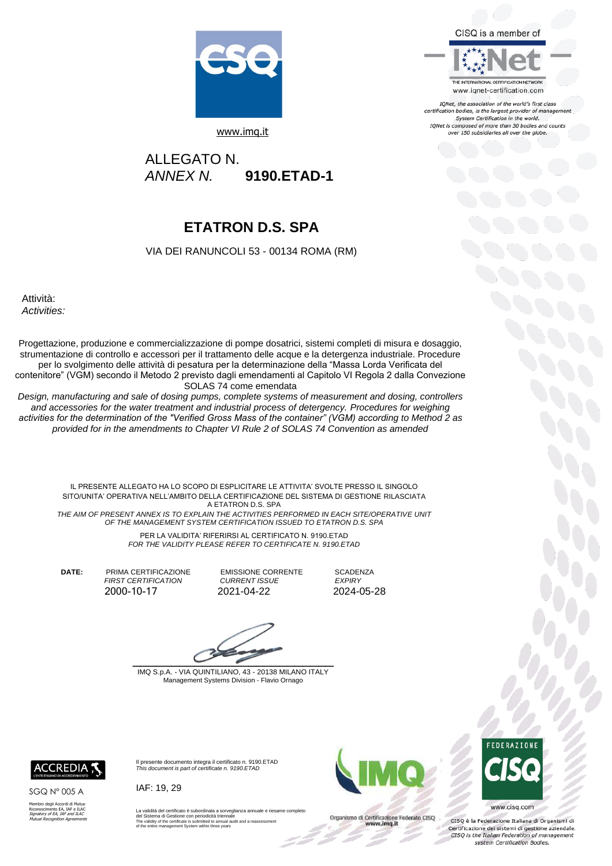CISQ is a member of



IQNet, the association of the world's first class certification bodies, is the largest provider of management System Certification in the world. IONet is composed of more than 30 bodies and counts over 150 subsidiaries all over the globe.



[www.imq.it](http://www.imq.it/) 

ALLEGATO N.<br>ANNEX N.  *ANNEX N.* **9190.ETAD-1**

# **ETATRON D.S. SPA**

VIA DEI RANUNCOLI 53 - 00134 ROMA (RM)

Attività: *Activities:*

Progettazione, produzione e commercializzazione di pompe dosatrici, sistemi completi di misura e dosaggio, strumentazione di controllo e accessori per il trattamento delle acque e la detergenza industriale. Procedure per lo svolgimento delle attività di pesatura per la determinazione della "Massa Lorda Verificata del contenitore" (VGM) secondo il Metodo 2 previsto dagli emendamenti al Capitolo VI Regola 2 dalla Convezione SOLAS 74 come emendata

*Design, manufacturing and sale of dosing pumps, complete systems of measurement and dosing, controllers and accessories for the water treatment and industrial process of detergency. Procedures for weighing activities for the determination of the "Verified Gross Mass of the container" (VGM) according to Method 2 as provided for in the amendments to Chapter VI Rule 2 of SOLAS 74 Convention as amended*

> IL PRESENTE ALLEGATO HA LO SCOPO DI ESPLICITARE LE ATTIVITA' SVOLTE PRESSO IL SINGOLO SITO/UNITA' OPERATIVA NELL'AMBITO DELLA CERTIFICAZIONE DEL SISTEMA DI GESTIONE RILASCIATA A ETATRON D.S. SPA

*THE AIM OF PRESENT ANNEX IS TO EXPLAIN THE ACTIVITIES PERFORMED IN EACH SITE/OPERATIVE UNIT OF THE MANAGEMENT SYSTEM CERTIFICATION ISSUED TO ETATRON D.S. SPA*

PER LA VALIDITA' RIFERIRSI AL CERTIFICATO N. 9190.ETAD *FOR THE VALIDITY PLEASE REFER TO CERTIFICATE N. 9190.ETAD*

**DATE:** PRIMA CERTIFICAZIONE EMISSIONE CORRENTE SCADENZA

 *FIRST CERTIFICATION CURRENT ISSUE EXPIRY*  2021-04-22

 $\overline{\phantom{a}}$ 

IMQ S.p.A. - VIA QUINTILIANO, 43 - 20138 MILANO ITALY Management Systems Division - Flavio Ornago



SGQ N° 005 A

Membro degli Accordi di Mutuo<br>Riconoscimento EA, IAF e ILAC<br>*Signatory of EA, IAF and ILAC<br>Mutual Recognition Agreements* 

*This document is part of certificate n. 9190.ETAD* IAF: 19, 29

La validità del certificato è subordinata a sorveglianza annuale e riesame completo<br>del Sistema di Gestione con periodicità triennale<br>The validity of the certificate is submitted to annual audit and a reassessment<br>of the e

ente documento integra il certificato n. 9190.ETAD



Organismo di Certificazione Federato CISQ<br>www.imq.it



www.cisq.com

CISQ è la Federazione Italiana di Organismi di Certificazione dei sistemi di gestione aziendale.<br>CISQ is the Italian Federation of management system Certification Bodies.